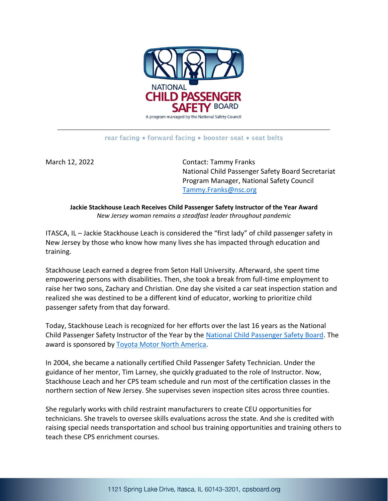

## rear facing • forward facing • booster seat • seat belts

March 12, 2022 Contact: Tammy Franks National Child Passenger Safety Board Secretariat Program Manager, National Safety Council [Tammy.Franks@nsc.org](mailto:Tammy.Franks@nsc.org)

**Jackie Stackhouse Leach Receives Child Passenger Safety Instructor of the Year Award** *New Jersey woman remains a steadfast leader throughout pandemic*

ITASCA, IL – Jackie Stackhouse Leach is considered the "first lady" of child passenger safety in New Jersey by those who know how many lives she has impacted through education and training.

Stackhouse Leach earned a degree from Seton Hall University. Afterward, she spent time empowering persons with disabilities. Then, she took a break from full-time employment to raise her two sons, Zachary and Christian. One day she visited a car seat inspection station and realized she was destined to be a different kind of educator, working to prioritize child passenger safety from that day forward.

Today, Stackhouse Leach is recognized for her efforts over the last 16 years as the National Child Passenger Safety Instructor of the Year by the [National Child Passenger Safety Board.](https://www.cpsboard.org/) The award is sponsored b[y Toyota Motor North America.](https://www.toyota.com/)

In 2004, she became a nationally certified Child Passenger Safety Technician. Under the guidance of her mentor, Tim Larney, she quickly graduated to the role of Instructor. Now, Stackhouse Leach and her CPS team schedule and run most of the certification classes in the northern section of New Jersey. She supervises seven inspection sites across three counties.

She regularly works with child restraint manufacturers to create CEU opportunities for technicians. She travels to oversee skills evaluations across the state. And she is credited with raising special needs transportation and school bus training opportunities and training others to teach these CPS enrichment courses.